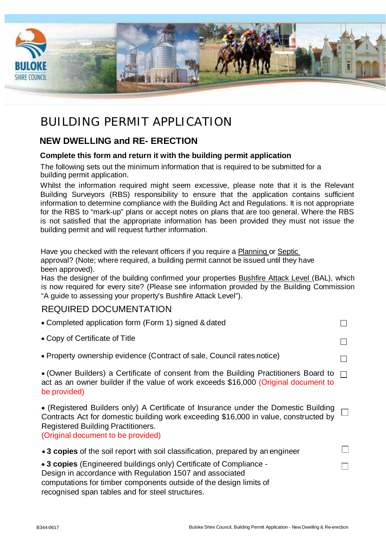

# BUILDING PERMIT APPLICATION

## **NEW DWELLING and RE- ERECTION**

## **Complete this form and return it with the building permit application**

The following sets out the minimum information that is required to be submitted for a building permit application.

Whilst the information required might seem excessive, please note that it is the Relevant Building Surveyors (RBS) responsibility to ensure that the application contains sufficient information to determine compliance with the Building Act and Regulations. It is not appropriate for the RBS to "mark-up" plans or accept notes on plans that are too general. Where the RBS is not satisfied that the appropriate information has been provided they must not issue the building permit and will request further information.

Have you checked with the relevant officers if you require a Planning or Septic approval? (Note; where required, a building permit cannot be issued until they have been approved).

Has the designer of the building confirmed your properties **Bushfire Attack Level (BAL)**, which is now required for every site? (Please see information provided by the Building Commission "A guide to assessing your property's Bushfire Attack Level").

## REQUIRED DOCUMENTATION

| • Completed application form (Form 1) signed & dated                                                                                                                                                                                                           |        |
|----------------------------------------------------------------------------------------------------------------------------------------------------------------------------------------------------------------------------------------------------------------|--------|
| • Copy of Certificate of Title                                                                                                                                                                                                                                 |        |
| • Property ownership evidence (Contract of sale, Council rates notice)                                                                                                                                                                                         |        |
| • (Owner Builders) a Certificate of consent from the Building Practitioners Board to<br>act as an owner builder if the value of work exceeds \$16,000 (Original document to<br>be provided)                                                                    | $\Box$ |
| • (Registered Builders only) A Certificate of Insurance under the Domestic Building<br>Contracts Act for domestic building work exceeding \$16,000 in value, constructed by<br><b>Registered Building Practitioners.</b><br>(Original document to be provided) |        |
| • 3 copies of the soil report with soil classification, prepared by an engineer                                                                                                                                                                                |        |
| • 3 copies (Engineered buildings only) Certificate of Compliance -<br>Design in accordance with Regulation 1507 and associated<br>computations for timber components outside of the design limits of<br>recognised span tables and for steel structures.       |        |